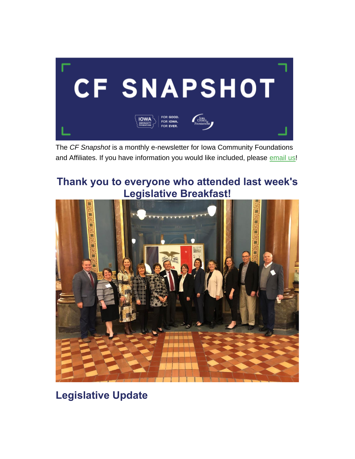

The *CF Snapshot* is a monthly e-newsletter for Iowa Community Foundations and Affiliates. If you have information you would like included, please [email](mailto:jmanders@iowacounciloffoundations.org) us!

## **Thank you to everyone who attended last week's Legislative Breakfast!**



**Legislative Update**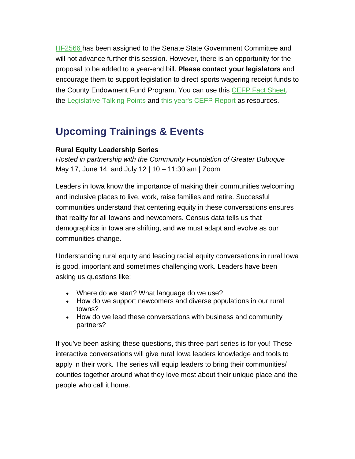[HF2566](https://www.legis.iowa.gov/legislation/BillBook?ga=89&ba=HF%202566) has been assigned to the Senate State Government Committee and will not advance further this session. However, there is an opportunity for the proposal to be added to a year-end bill. **Please contact your legislators** and encourage them to support legislation to direct sports wagering receipt funds to the County Endowment Fund Program. You can use this [CEFP Fact Sheet,](https://iowacounciloffoundations.org/wp-content/uploads/2022/03/CountyEndowFund_03_25_22.pdf) the [Legislative Talking Points](https://iowacounciloffoundations.org/wp-content/uploads/2022/03/2022-Legislative-Talking-Points-1.pdf) and [this year's CEFP Report](https://iowacounciloffoundations.org/wp-content/uploads/2022/02/2020-21_CEFP-annual-report.pdf) as resources.

# **Upcoming Trainings & Events**

### **Rural Equity Leadership Series**

*Hosted in partnership with the Community Foundation of Greater Dubuque* May 17, June 14, and July 12 | 10 – 11:30 am | Zoom

Leaders in Iowa know the importance of making their communities welcoming and inclusive places to live, work, raise families and retire. Successful communities understand that centering equity in these conversations ensures that reality for all Iowans and newcomers. Census data tells us that demographics in Iowa are shifting, and we must adapt and evolve as our communities change.

Understanding rural equity and leading racial equity conversations in rural Iowa is good, important and sometimes challenging work. Leaders have been asking us questions like:

- Where do we start? What language do we use?
- How do we support newcomers and diverse populations in our rural towns?
- How do we lead these conversations with business and community partners?

If you've been asking these questions, this three-part series is for you! These interactive conversations will give rural Iowa leaders knowledge and tools to apply in their work. The series will equip leaders to bring their communities/ counties together around what they love most about their unique place and the people who call it home.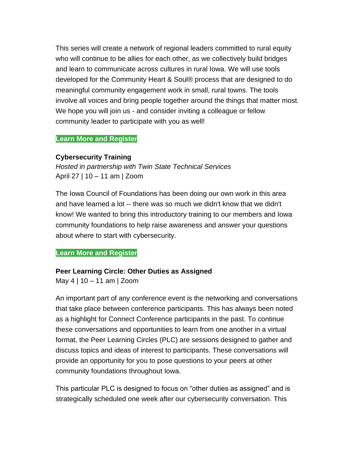This series will create a network of regional leaders committed to rural equity who will continue to be allies for each other, as we collectively build bridges and learn to communicate across cultures in rural Iowa. We will use tools developed for the Community Heart & Soul® process that are designed to do meaningful community engagement work in small, rural towns. The tools involve all voices and bring people together around the things that matter most. We hope you will join us - and consider inviting a colleague or fellow community leader to participate with you as well!

### **[Learn More and Register](https://icof.wildapricot.org/event-4669692)**

#### **Cybersecurity Training**

*Hosted in partnership with Twin State Technical Services* April 27 | 10 – 11 am | Zoom

The Iowa Council of Foundations has been doing our own work in this area and have learned a lot -- there was so much we didn't know that we didn't know! We wanted to bring this introductory training to our members and Iowa community foundations to help raise awareness and answer your questions about where to start with cybersecurity.

### **[Learn More and Register](https://icof.wildapricot.org/event-4720722)**

### **Peer Learning Circle: Other Duties as Assigned**

May 4 | 10 – 11 am | Zoom

An important part of any conference event is the networking and conversations that take place between conference participants. This has always been noted as a highlight for Connect Conference participants in the past. To continue these conversations and opportunities to learn from one another in a virtual format, the Peer Learning Circles (PLC) are sessions designed to gather and discuss topics and ideas of interest to participants. These conversations will provide an opportunity for you to pose questions to your peers at other community foundations throughout Iowa.

This particular PLC is designed to focus on "other duties as assigned" and is strategically scheduled one week after our cybersecurity conversation. This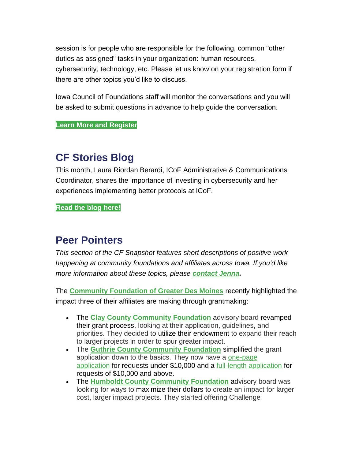session is for people who are responsible for the following, common "other duties as assigned" tasks in your organization: human resources, cybersecurity, technology, etc. Please let us know on your registration form if there are other topics you'd like to discuss.

Iowa Council of Foundations staff will monitor the conversations and you will be asked to submit questions in advance to help guide the conversation.

**[Learn More and Register](https://icof.wildapricot.org/event-4588829)**

## **CF Stories Blog**

This month, Laura Riordan Berardi, ICoF Administrative & Communications Coordinator, shares the importance of investing in cybersecurity and her experiences implementing better protocols at ICoF.

**[Read the blog here!](https://iowacounciloffoundations.org/category/cfstories/)**

### **Peer Pointers**

*This section of the CF Snapshot features short descriptions of positive work happening at community foundations and affiliates across Iowa. If you'd like more information about these topics, please [contact Jenna.](mailto:jmanders@iowacounciloffoundations.org)*

The **[Community Foundation of Greater Des Moines](https://www.desmoinesfoundation.org/affiliates)** recently highlighted the impact three of their affiliates are making through grantmaking:

- The **[Clay County Community Foundation](https://www.youtube.com/watch?v=zg3Hhnz7oEE)** advisory board revamped their grant process, looking at their application, guidelines, and priorities. They decided to utilize their endowment to expand their reach to larger projects in order to spur greater impact.
- The **[Guthrie County Community Foundation](https://www.youtube.com/watch?v=PiIL7gQqUEg)** simplified the grant application down to the basics. They now have a one-page [application](https://t.e2ma.net/click/q3cbdh/ms52zj/qzt5crb) for requests under \$10,000 and a [full-length application](https://t.e2ma.net/click/q3cbdh/ms52zj/6ru5crb) for requests of \$10,000 and above.
- The **[Humboldt County Community Foundation](https://www.youtube.com/watch?v=ziS7U_pZcWA)** advisory board was looking for ways to maximize their dollars to create an impact for larger cost, larger impact projects. They started offering Challenge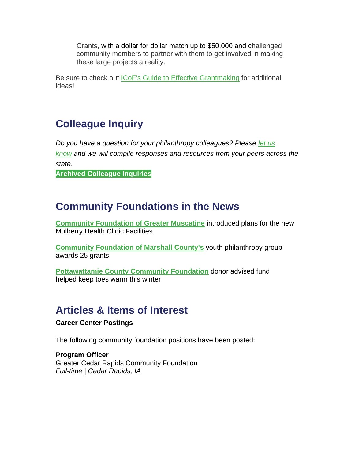Grants, with a dollar for dollar match up to \$50,000 and challenged community members to partner with them to get involved in making these large projects a reality.

Be sure to check out [ICoF's Guide to Effective Grantmaking](https://iowacounciloffoundations.org/wp-content/uploads/2018/10/FINAL-Guide2Grantmaking_SinglePgs.pdf) for additional ideas!

# **Colleague Inquiry**

*Do you have a question for your philanthropy colleagues? Please [let us](mailto:info@iowacounciloffoundations.org?subject=Colleague%20Inquiry%20Request)  [know](mailto:info@iowacounciloffoundations.org?subject=Colleague%20Inquiry%20Request) and we will compile responses and resources from your peers across the state.*

**[Archived Colleague Inquiries](https://iowacounciloffoundations.org/community-foundation-resources-colleague-inquiries/)**

## **Community Foundations in the News**

**[Community Foundation of Greater Muscatine](https://muscatinejournal.com/muscatine/news/local/community-foundation-of-greater-muscatine-introduces-new-mulberry-health-clinic-facilities/article_28df0c84-d7d0-5334-bca6-0b9dcb57e86b.html)** introduced plans for the new Mulberry Health Clinic Facilities

**[Community Foundation of Marshall County's](https://www.timesrepublican.com/news/todays-news/2022/03/community-foundation-student-philanthropy-groups-award-25-grants/) youth philanthropy group** awards 25 grants

**[Pottawattamie County Community Foundation](https://nonpareilonline.com/news/local/family-inc-and-partners-work-to-keep-little-toes-warm-this-winter/article_d4e27838-8092-11ec-83ea-9fa055363bc6.html#tracking-source=home-top-story)** donor advised fund helped keep toes warm this winter

## **Articles & Items of Interest**

**Career Center Postings**

The following community foundation positions have been posted:

**Program Officer** Greater Cedar Rapids Community Foundation *Full-time | Cedar Rapids, IA*